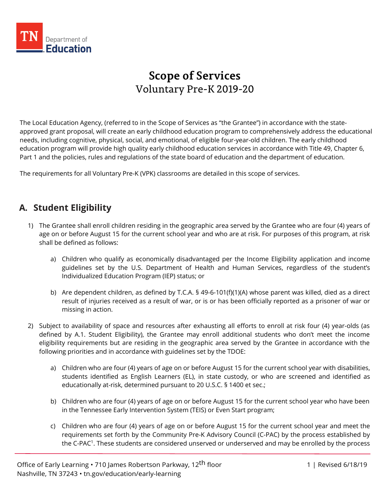

# **Scope of Services** Voluntary Pre-K 2019-20

The Local Education Agency, (referred to in the Scope of Services as "the Grantee") in accordance with the stateapproved grant proposal, will create an early childhood education program to comprehensively address the educational needs, including cognitive, physical, social, and emotional, of eligible four-year-old children. The early childhood education program will provide high quality early childhood education services in accordance with Title 49, Chapter 6, Part 1 and the policies, rules and regulations of the state board of education and the department of education.

The requirements for all Voluntary Pre-K (VPK) classrooms are detailed in this scope of services.

## **A. Student Eligibility**

- 1) The Grantee shall enroll children residing in the geographic area served by the Grantee who are four (4) years of age on or before August 15 for the current school year and who are at risk. For purposes of this program, at risk shall be defined as follows:
	- a) Children who qualify as economically disadvantaged per the Income Eligibility application and income guidelines set by the U.S. Department of Health and Human Services, regardless of the student's Individualized Education Program (IEP) status; or
	- b) Are dependent children, as defined by T.C.A. § 49-6-101(f)(1)(A) whose parent was killed, died as a direct result of injuries received as a result of war, or is or has been officially reported as a prisoner of war or missing in action.
- 2) Subject to availability of space and resources after exhausting all efforts to enroll at risk four (4) year-olds (as defined by A.1. Student Eligibility), the Grantee may enroll additional students who don't meet the income eligibility requirements but are residing in the geographic area served by the Grantee in accordance with the following priorities and in accordance with guidelines set by the TDOE:
	- a) Children who are four (4) years of age on or before August 15 for the current school year with disabilities, students identified as English Learners (EL), in state custody, or who are screened and identified as educationally at-risk, determined pursuant to 20 U.S.C. § 1400 et sec.;
	- b) Children who are four (4) years of age on or before August 15 for the current school year who have been in the Tennessee Early Intervention System (TEIS) or Even Start program;
	- c) Children who are four (4) years of age on or before August 15 for the current school year and meet the requirements set forth by the Community Pre-K Advisory Council (C-PAC) by the process established by the C-PAC<sup>1</sup>. These students are considered unserved or underserved and may be enrolled by the process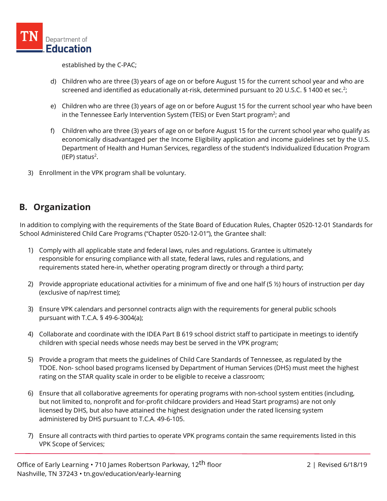

established by the C-PAC;

- d) Children who are three (3) years of age on or before August 15 for the current school year and who are screened and identified as educationally at-risk, determined pursuant to 20 U.S.C. § 1400 et sec.<sup>2</sup>;
- e) Children who are three (3) years of age on or before August 15 for the current school year who have been in the Tennessee Early Intervention System (TEIS) or Even Start program<sup>2</sup>; and
- f) Children who are three (3) years of age on or before August 15 for the current school year who qualify as economically disadvantaged per the Income Eligibility application and income guidelines set by the U.S. Department of Health and Human Services, regardless of the student's Individualized Education Program  $(IEP)$  status<sup>2</sup>.
- 3) Enrollment in the VPK program shall be voluntary.

## **B. Organization**

In addition to complying with the requirements of the State Board of Education Rules, Chapter 0520-12-01 Standards for School Administered Child Care Programs ("Chapter 0520-12-01"), the Grantee shall:

- 1) Comply with all applicable state and federal laws, rules and regulations. Grantee is ultimately responsible for ensuring compliance with all state, federal laws, rules and regulations, and requirements stated here-in, whether operating program directly or through a third party;
- 2) Provide appropriate educational activities for a minimum of five and one half (5 ½) hours of instruction per day (exclusive of nap/rest time);
- 3) Ensure VPK calendars and personnel contracts align with the requirements for general public schools pursuant with T.C.A. § 49-6-3004(a);
- 4) Collaborate and coordinate with the IDEA Part B 619 school district staff to participate in meetings to identify children with special needs whose needs may best be served in the VPK program;
- 5) Provide a program that meets the guidelines of Child Care Standards of Tennessee, as regulated by the TDOE. Non- school based programs licensed by Department of Human Services (DHS) must meet the highest rating on the STAR quality scale in order to be eligible to receive a classroom;
- 6) Ensure that all collaborative agreements for operating programs with non-school system entities (including, but not limited to, nonprofit and for-profit childcare providers and Head Start programs) are not only licensed by DHS, but also have attained the highest designation under the rated licensing system administered by DHS pursuant to T.C.A. 49-6-105.
- 7) Ensure all contracts with third parties to operate VPK programs contain the same requirements listed in this VPK Scope of Services;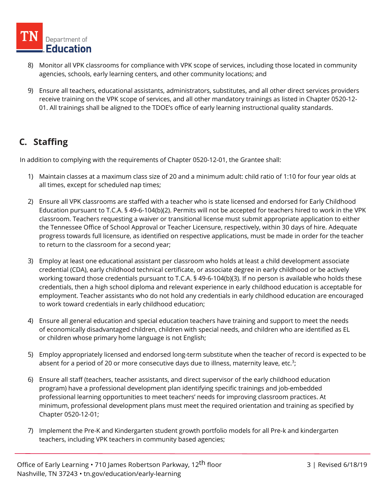

- 8) Monitor all VPK classrooms for compliance with VPK scope of services, including those located in community agencies, schools, early learning centers, and other community locations; and
- 9) Ensure all teachers, educational assistants, administrators, substitutes, and all other direct services providers receive training on the VPK scope of services, and all other mandatory trainings as listed in Chapter 0520-12- 01. All trainings shall be aligned to the TDOE's office of early learning instructional quality standards.

## **C. Staffing**

- 1) Maintain classes at a maximum class size of 20 and a minimum adult: child ratio of 1:10 for four year olds at all times, except for scheduled nap times;
- 2) Ensure all VPK classrooms are staffed with a teacher who is state licensed and endorsed for Early Childhood Education pursuant to T.C.A. § 49-6-104(b)(2). Permits will not be accepted for teachers hired to work in the VPK classroom. Teachers requesting a waiver or transitional license must submit appropriate application to either the Tennessee Office of School Approval or Teacher Licensure, respectively, within 30 days of hire. Adequate progress towards full licensure, as identified on respective applications, must be made in order for the teacher to return to the classroom for a second year;
- 3) Employ at least one educational assistant per classroom who holds at least a child development associate credential (CDA), early childhood technical certificate, or associate degree in early childhood or be actively working toward those credentials pursuant to T.C.A. § 49-6-104(b)(3). If no person is available who holds these credentials, then a high school diploma and relevant experience in early childhood education is acceptable for employment. Teacher assistants who do not hold any credentials in early childhood education are encouraged to work toward credentials in early childhood education;
- 4) Ensure all general education and special education teachers have training and support to meet the needs of economically disadvantaged children, children with special needs, and children who are identified as EL or children whose primary home language is not English;
- 5) Employ appropriately licensed and endorsed long-term substitute when the teacher of record is expected to be absent for a period of 20 or more consecutive days due to illness, maternity leave, etc.<sup>3</sup>;
- 6) Ensure all staff (teachers, teacher assistants, and direct supervisor of the early childhood education program) have a professional development plan identifying specific trainings and job-embedded professional learning opportunities to meet teachers' needs for improving classroom practices. At minimum, professional development plans must meet the required orientation and training as specified by Chapter 0520-12-01;
- 7) Implement the Pre-K and Kindergarten student growth portfolio models for all Pre-k and kindergarten teachers, including VPK teachers in community based agencies;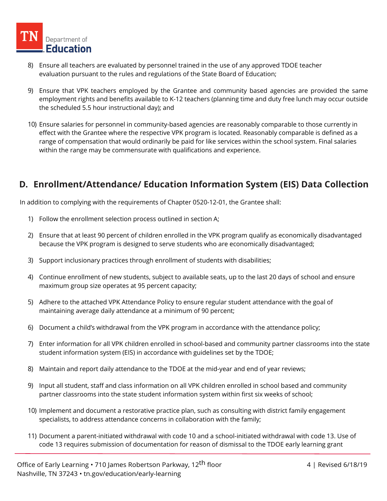- 8) Ensure all teachers are evaluated by personnel trained in the use of any approved TDOE teacher evaluation pursuant to the rules and regulations of the State Board of Education;
- 9) Ensure that VPK teachers employed by the Grantee and community based agencies are provided the same employment rights and benefits available to K-12 teachers (planning time and duty free lunch may occur outside the scheduled 5.5 hour instructional day); and
- 10) Ensure salaries for personnel in community-based agencies are reasonably comparable to those currently in effect with the Grantee where the respective VPK program is located. Reasonably comparable is defined as a range of compensation that would ordinarily be paid for like services within the school system. Final salaries within the range may be commensurate with qualifications and experience.

## **D. Enrollment/Attendance/ Education Information System (EIS) Data Collection**

- 1) Follow the enrollment selection process outlined in section A;
- 2) Ensure that at least 90 percent of children enrolled in the VPK program qualify as economically disadvantaged because the VPK program is designed to serve students who are economically disadvantaged;
- 3) Support inclusionary practices through enrollment of students with disabilities;
- 4) Continue enrollment of new students, subject to available seats, up to the last 20 days of school and ensure maximum group size operates at 95 percent capacity;
- 5) Adhere to the attached VPK Attendance Policy to ensure regular student attendance with the goal of maintaining average daily attendance at a minimum of 90 percent;
- 6) Document a child's withdrawal from the VPK program in accordance with the attendance policy;
- 7) Enter information for all VPK children enrolled in school-based and community partner classrooms into the state student information system (EIS) in accordance with guidelines set by the TDOE;
- 8) Maintain and report daily attendance to the TDOE at the mid-year and end of year reviews;
- 9) Input all student, staff and class information on all VPK children enrolled in school based and community partner classrooms into the state student information system within first six weeks of school;
- 10) Implement and document a restorative practice plan, such as consulting with district family engagement specialists, to address attendance concerns in collaboration with the family;
- 11) Document a parent-initiated withdrawal with code 10 and a school-initiated withdrawal with code 13. Use of code 13 requires submission of documentation for reason of dismissal to the TDOE early learning grant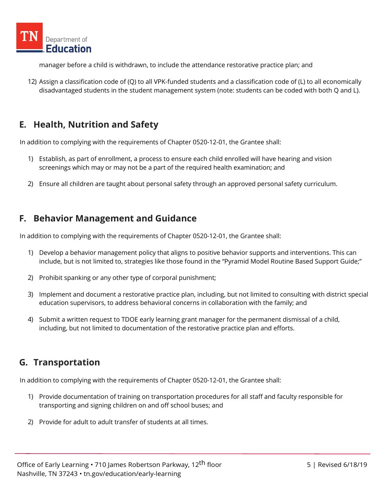

manager before a child is withdrawn, to include the attendance restorative practice plan; and

12) Assign a classification code of (Q) to all VPK-funded students and a classification code of (L) to all economically disadvantaged students in the student management system (note: students can be coded with both Q and L).

## **E. Health, Nutrition and Safety**

In addition to complying with the requirements of Chapter 0520-12-01, the Grantee shall:

- 1) Establish, as part of enrollment, a process to ensure each child enrolled will have hearing and vision screenings which may or may not be a part of the required health examination; and
- 2) Ensure all children are taught about personal safety through an approved personal safety curriculum.

#### **F. Behavior Management and Guidance**

In addition to complying with the requirements of Chapter 0520-12-01, the Grantee shall:

- 1) Develop a behavior management policy that aligns to positive behavior supports and interventions. This can include, but is not limited to, strategies like those found in the "Pyramid Model Routine Based Support Guide;"
- 2) Prohibit spanking or any other type of corporal punishment;
- 3) Implement and document a restorative practice plan, including, but not limited to consulting with district special education supervisors, to address behavioral concerns in collaboration with the family; and
- 4) Submit a written request to TDOE early learning grant manager for the permanent dismissal of a child, including, but not limited to documentation of the restorative practice plan and efforts.

## **G. Transportation**

- 1) Provide documentation of training on transportation procedures for all staff and faculty responsible for transporting and signing children on and off school buses; and
- 2) Provide for adult to adult transfer of students at all times.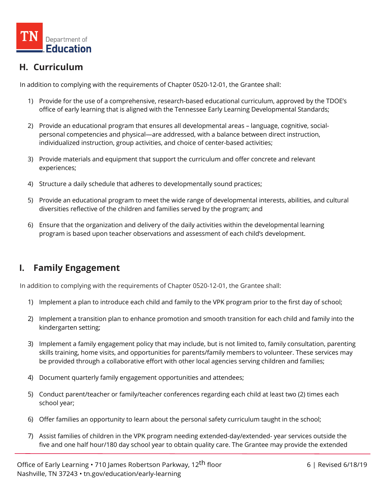

## **H. Curriculum**

In addition to complying with the requirements of Chapter 0520-12-01, the Grantee shall:

- 1) Provide for the use of a comprehensive, research-based educational curriculum, approved by the TDOE's office of early learning that is aligned with the Tennessee Early Learning Developmental Standards;
- 2) Provide an educational program that ensures all developmental areas language, cognitive, socialpersonal competencies and physical—are addressed, with a balance between direct instruction, individualized instruction, group activities, and choice of center-based activities;
- 3) Provide materials and equipment that support the curriculum and offer concrete and relevant experiences;
- 4) Structure a daily schedule that adheres to developmentally sound practices;
- 5) Provide an educational program to meet the wide range of developmental interests, abilities, and cultural diversities reflective of the children and families served by the program; and
- 6) Ensure that the organization and delivery of the daily activities within the developmental learning program is based upon teacher observations and assessment of each child's development.

## **I. Family Engagement**

- 1) Implement a plan to introduce each child and family to the VPK program prior to the first day of school;
- 2) Implement a transition plan to enhance promotion and smooth transition for each child and family into the kindergarten setting;
- 3) Implement a family engagement policy that may include, but is not limited to, family consultation, parenting skills training, home visits, and opportunities for parents/family members to volunteer. These services may be provided through a collaborative effort with other local agencies serving children and families;
- 4) Document quarterly family engagement opportunities and attendees;
- 5) Conduct parent/teacher or family/teacher conferences regarding each child at least two (2) times each school year;
- 6) Offer families an opportunity to learn about the personal safety curriculum taught in the school;
- 7) Assist families of children in the VPK program needing extended-day/extended- year services outside the five and one half hour/180 day school year to obtain quality care. The Grantee may provide the extended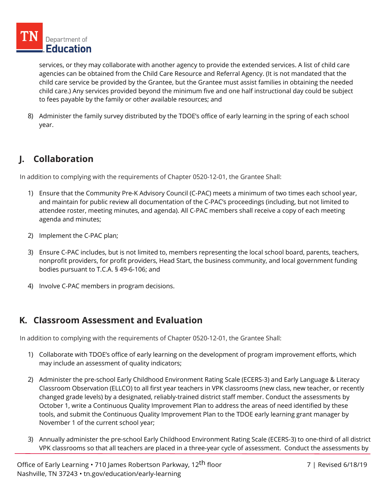services, or they may collaborate with another agency to provide the extended services. A list of child care agencies can be obtained from the Child Care Resource and Referral Agency. (It is not mandated that the child care service be provided by the Grantee, but the Grantee must assist families in obtaining the needed child care.) Any services provided beyond the minimum five and one half instructional day could be subject to fees payable by the family or other available resources; and

8) Administer the family survey distributed by the TDOE's office of early learning in the spring of each school year.

## **J. Collaboration**

In addition to complying with the requirements of Chapter 0520-12-01, the Grantee Shall:

- 1) Ensure that the Community Pre-K Advisory Council (C-PAC) meets a minimum of two times each school year, and maintain for public review all documentation of the C-PAC's proceedings (including, but not limited to attendee roster, meeting minutes, and agenda). All C-PAC members shall receive a copy of each meeting agenda and minutes;
- 2) Implement the C-PAC plan;
- 3) Ensure C-PAC includes, but is not limited to, members representing the local school board, parents, teachers, nonprofit providers, for profit providers, Head Start, the business community, and local government funding bodies pursuant to T.C.A. § 49-6-106; and
- 4) Involve C-PAC members in program decisions.

## **K. Classroom Assessment and Evaluation**

- 1) Collaborate with TDOE's office of early learning on the development of program improvement efforts, which may include an assessment of quality indicators;
- 2) Administer the pre-school Early Childhood Environment Rating Scale (ECERS-3) and Early Language & Literacy Classroom Observation (ELLCO) to all first year teachers in VPK classrooms (new class, new teacher, or recently changed grade levels) by a designated, reliably-trained district staff member. Conduct the assessments by October 1, write a Continuous Quality Improvement Plan to address the areas of need identified by these tools, and submit the Continuous Quality Improvement Plan to the TDOE early learning grant manager by November 1 of the current school year;
- 3) Annually administer the pre-school Early Childhood Environment Rating Scale (ECERS-3) to one-third of all district VPK classrooms so that all teachers are placed in a three-year cycle of assessment. Conduct the assessments by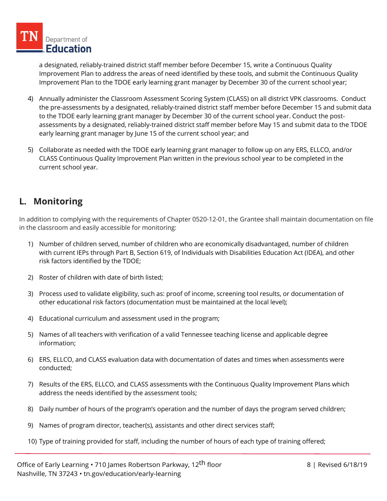a designated, reliably-trained district staff member before December 15, write a Continuous Quality Improvement Plan to address the areas of need identified by these tools, and submit the Continuous Quality Improvement Plan to the TDOE early learning grant manager by December 30 of the current school year;

- 4) Annually administer the Classroom Assessment Scoring System (CLASS) on all district VPK classrooms. Conduct the pre-assessments by a designated, reliably-trained district staff member before December 15 and submit data to the TDOE early learning grant manager by December 30 of the current school year. Conduct the postassessments by a designated, reliably-trained district staff member before May 15 and submit data to the TDOE early learning grant manager by June 15 of the current school year; and
- 5) Collaborate as needed with the TDOE early learning grant manager to follow up on any ERS, ELLCO, and/or CLASS Continuous Quality Improvement Plan written in the previous school year to be completed in the current school year.

## **L. Monitoring**

In addition to complying with the requirements of Chapter 0520-12-01, the Grantee shall maintain documentation on file in the classroom and easily accessible for monitoring:

- 1) Number of children served, number of children who are economically disadvantaged, number of children with current IEPs through Part B, Section 619, of Individuals with Disabilities Education Act (IDEA), and other risk factors identified by the TDOE;
- 2) Roster of children with date of birth listed;
- 3) Process used to validate eligibility, such as: proof of income, screening tool results, or documentation of other educational risk factors (documentation must be maintained at the local level);
- 4) Educational curriculum and assessment used in the program;
- 5) Names of all teachers with verification of a valid Tennessee teaching license and applicable degree information;
- 6) ERS, ELLCO, and CLASS evaluation data with documentation of dates and times when assessments were conducted;
- 7) Results of the ERS, ELLCO, and CLASS assessments with the Continuous Quality Improvement Plans which address the needs identified by the assessment tools;
- 8) Daily number of hours of the program's operation and the number of days the program served children;
- 9) Names of program director, teacher(s), assistants and other direct services staff;
- 10) Type of training provided for staff, including the number of hours of each type of training offered;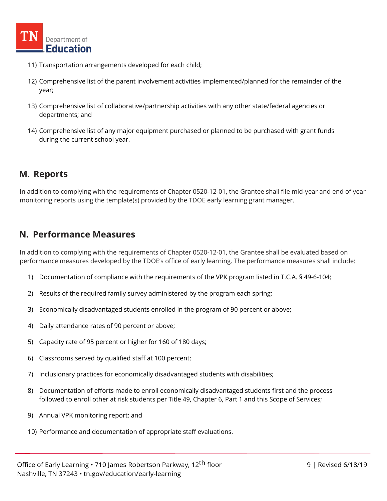

- 11) Transportation arrangements developed for each child;
- 12) Comprehensive list of the parent involvement activities implemented/planned for the remainder of the year;
- 13) Comprehensive list of collaborative/partnership activities with any other state/federal agencies or departments; and
- 14) Comprehensive list of any major equipment purchased or planned to be purchased with grant funds during the current school year.

#### **M. Reports**

In addition to complying with the requirements of Chapter 0520-12-01, the Grantee shall file mid-year and end of year monitoring reports using the template(s) provided by the TDOE early learning grant manager.

#### **N. Performance Measures**

In addition to complying with the requirements of Chapter 0520-12-01, the Grantee shall be evaluated based on performance measures developed by the TDOE's office of early learning. The performance measures shall include:

- 1) Documentation of compliance with the requirements of the VPK program listed in T.C.A. § 49-6-104;
- 2) Results of the required family survey administered by the program each spring;
- 3) Economically disadvantaged students enrolled in the program of 90 percent or above;
- 4) Daily attendance rates of 90 percent or above;
- 5) Capacity rate of 95 percent or higher for 160 of 180 days;
- 6) Classrooms served by qualified staff at 100 percent;
- 7) Inclusionary practices for economically disadvantaged students with disabilities;
- 8) Documentation of efforts made to enroll economically disadvantaged students first and the process followed to enroll other at risk students per Title 49, Chapter 6, Part 1 and this Scope of Services;
- 9) Annual VPK monitoring report; and
- 10) Performance and documentation of appropriate staff evaluations.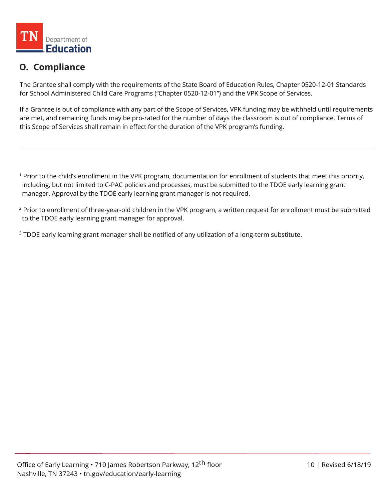

## **O. Compliance**

The Grantee shall comply with the requirements of the State Board of Education Rules, Chapter 0520-12-01 Standards for School Administered Child Care Programs ("Chapter 0520-12-01") and the VPK Scope of Services.

If a Grantee is out of compliance with any part of the Scope of Services, VPK funding may be withheld until requirements are met, and remaining funds may be pro-rated for the number of days the classroom is out of compliance. Terms of this Scope of Services shall remain in effect for the duration of the VPK program's funding.

<sup>1</sup> Prior to the child's enrollment in the VPK program, documentation for enrollment of students that meet this priority, including, but not limited to C-PAC policies and processes, must be submitted to the TDOE early learning grant manager. Approval by the TDOE early learning grant manager is not required.

<sup>2</sup> Prior to enrollment of three-year-old children in the VPK program, a written request for enrollment must be submitted to the TDOE early learning grant manager for approval.

<sup>3</sup> TDOE early learning grant manager shall be notified of any utilization of a long-term substitute.